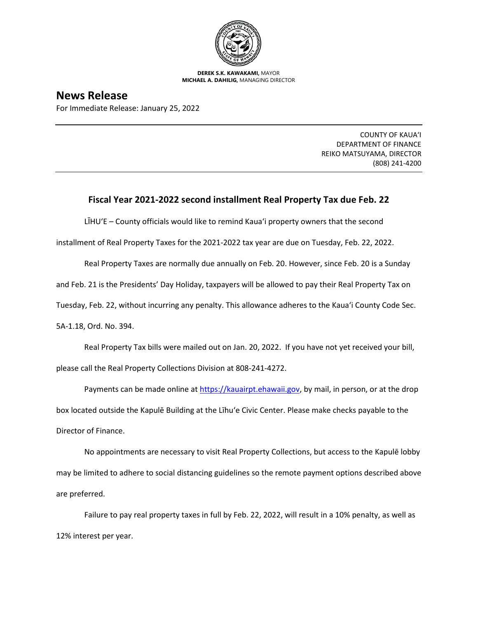

**DEREK S.K. KAWAKAMI,** MAYOR **MICHAEL A. DAHILIG,** MANAGING DIRECTOR

## **News Release**

For Immediate Release: January 25, 2022

COUNTY OF KAUA'I DEPARTMENT OF FINANCE REIKO MATSUYAMA, DIRECTOR (808) 241-4200

## **Fiscal Year 2021-2022 second installment Real Property Tax due Feb. 22**

LĪHU'E – County officials would like to remind Kaua'i property owners that the second

installment of Real Property Taxes for the 2021-2022 tax year are due on Tuesday, Feb. 22, 2022.

Real Property Taxes are normally due annually on Feb. 20. However, since Feb. 20 is a Sunday

and Feb. 21 is the Presidents' Day Holiday, taxpayers will be allowed to pay their Real Property Tax on

Tuesday, Feb. 22, without incurring any penalty. This allowance adheres to the Kaua'i County Code Sec.

5A-1.18, Ord. No. 394.

Real Property Tax bills were mailed out on Jan. 20, 2022. If you have not yet received your bill, please call the Real Property Collections Division at 808-241-4272.

Payments can be made online at [https://kauairpt.ehawaii.gov](https://kauairpt.ehawaii.gov/), by mail, in person, or at the drop box located outside the Kapulē Building at the Līhu'e Civic Center. Please make checks payable to the Director of Finance.

No appointments are necessary to visit Real Property Collections, but access to the Kapulē lobby may be limited to adhere to social distancing guidelines so the remote payment options described above are preferred.

Failure to pay real property taxes in full by Feb. 22, 2022, will result in a 10% penalty, as well as 12% interest per year.